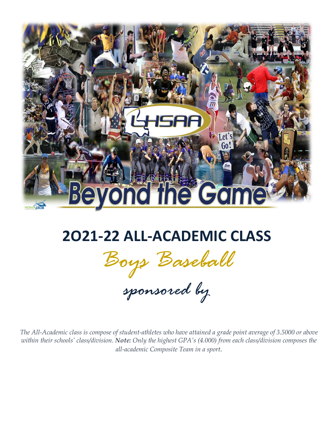

# **2O21-22 ALL-ACADEMIC CLASS**

*Boys Baseball*

*sponsored by*

*The All-Academic class is compose of student-athletes who have attained a grade point average of 3.5000 or above within their schools' class/division. Note: Only the highest GPA's (4.000) from each class/division composes the all-academic Composite Team in a sport.*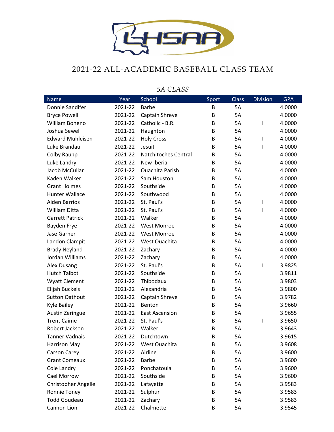

#### 2021-22 ALL-ACADEMIC BASEBALL CLASS TEAM

| <b>Name</b>             | Year    | School                      | Sport | <b>Class</b> | <b>Division</b> | <b>GPA</b> |
|-------------------------|---------|-----------------------------|-------|--------------|-----------------|------------|
| Donnie Sandifer         | 2021-22 | <b>Barbe</b>                | B     | 5A           |                 | 4.0000     |
| <b>Bryce Powell</b>     | 2021-22 | Captain Shreve              | B     | 5A           |                 | 4.0000     |
| William Boneno          | 2021-22 | Catholic - B.R.             | B     | 5A           | 1               | 4.0000     |
| Joshua Sewell           | 2021-22 | Haughton                    | B     | 5A           |                 | 4.0000     |
| <b>Edward Muhleisen</b> | 2021-22 | <b>Holy Cross</b>           | B     | <b>5A</b>    | T               | 4.0000     |
| Luke Brandau            | 2021-22 | Jesuit                      | B     | 5A           | 1               | 4.0000     |
| Colby Raupp             | 2021-22 | <b>Natchitoches Central</b> | B     | 5A           |                 | 4.0000     |
| Luke Landry             | 2021-22 | New Iberia                  | B     | 5A           |                 | 4.0000     |
| Jacob McCullar          | 2021-22 | <b>Ouachita Parish</b>      | B     | 5A           |                 | 4.0000     |
| Kaden Walker            | 2021-22 | Sam Houston                 | B     | 5A           |                 | 4.0000     |
| <b>Grant Holmes</b>     | 2021-22 | Southside                   | B     | 5A           |                 | 4.0000     |
| <b>Hunter Wallace</b>   | 2021-22 | Southwood                   | B     | 5A           |                 | 4.0000     |
| <b>Aiden Barrios</b>    | 2021-22 | St. Paul's                  | B     | 5A           | T               | 4.0000     |
| William Ditta           | 2021-22 | St. Paul's                  | B     | 5A           | ı               | 4.0000     |
| <b>Garrett Patrick</b>  | 2021-22 | Walker                      | B     | 5A           |                 | 4.0000     |
| Bayden Frye             | 2021-22 | <b>West Monroe</b>          | B     | 5A           |                 | 4.0000     |
| Jase Garner             | 2021-22 | <b>West Monroe</b>          | B     | <b>5A</b>    |                 | 4.0000     |
| Landon Clampit          | 2021-22 | West Ouachita               | B     | 5A           |                 | 4.0000     |
| <b>Brady Neyland</b>    | 2021-22 | Zachary                     | B     | 5A           |                 | 4.0000     |
| Jordan Williams         | 2021-22 | Zachary                     | B     | 5A           |                 | 4.0000     |
| Alex Dusang             | 2021-22 | St. Paul's                  | B     | 5A           | 1               | 3.9825     |
| <b>Hutch Talbot</b>     | 2021-22 | Southside                   | B     | 5A           |                 | 3.9811     |
| <b>Wyatt Clement</b>    | 2021-22 | Thibodaux                   | B     | 5A           |                 | 3.9803     |
| Elijah Buckels          | 2021-22 | Alexandria                  | B     | 5A           |                 | 3.9800     |
| <b>Sutton Oathout</b>   | 2021-22 | Captain Shreve              | B     | 5A           |                 | 3.9782     |
| <b>Kyle Bailey</b>      | 2021-22 | Benton                      | B     | 5A           |                 | 3.9660     |
| Austin Zeringue         | 2021-22 | <b>East Ascension</b>       | B     | 5A           |                 | 3.9655     |
| <b>Trent Caime</b>      | 2021-22 | St. Paul's                  | B     | 5A           | 1               | 3.9650     |
| Robert Jackson          | 2021-22 | Walker                      | B     | 5A           |                 | 3.9643     |
| Tanner Vadnais          | 2021-22 | Dutchtown                   | B     | 5A           |                 | 3.9615     |
| <b>Harrison May</b>     | 2021-22 | West Ouachita               | В     | 5A           |                 | 3.9608     |
| Carson Carey            | 2021-22 | Airline                     | B     | 5A           |                 | 3.9600     |
| <b>Grant Comeaux</b>    | 2021-22 | <b>Barbe</b>                | B     | 5A           |                 | 3.9600     |
| Cole Landry             | 2021-22 | Ponchatoula                 | B     | 5A           |                 | 3.9600     |
| Cael Morrow             | 2021-22 | Southside                   | В     | 5A           |                 | 3.9600     |
| Christopher Angelle     | 2021-22 | Lafayette                   | B     | 5A           |                 | 3.9583     |
| Ronnie Toney            | 2021-22 | Sulphur                     | В     | 5A           |                 | 3.9583     |
| <b>Todd Goudeau</b>     | 2021-22 | Zachary                     | В     | 5A           |                 | 3.9583     |
| Cannon Lion             | 2021-22 | Chalmette                   | B     | 5A           |                 | 3.9545     |

#### *5A CLASS*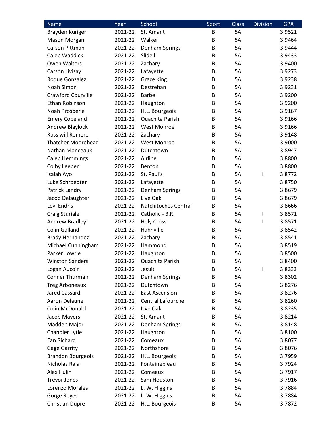| <b>Name</b>               | Year    | School                      | Sport | Class     | <b>Division</b> | <b>GPA</b> |
|---------------------------|---------|-----------------------------|-------|-----------|-----------------|------------|
| Brayden Kuriger           | 2021-22 | St. Amant                   | B     | <b>5A</b> |                 | 3.9521     |
| Mason Morgan              | 2021-22 | Walker                      | B     | <b>5A</b> |                 | 3.9464     |
| Carson Pittman            | 2021-22 | Denham Springs              | B     | 5A        |                 | 3.9444     |
| Caleb Waddick             | 2021-22 | Slidell                     | B     | 5A        |                 | 3.9433     |
| <b>Owen Walters</b>       | 2021-22 | Zachary                     | B     | <b>5A</b> |                 | 3.9400     |
| Carson Livisay            | 2021-22 | Lafayette                   | B     | 5A        |                 | 3.9273     |
| Roque Gonzalez            | 2021-22 | <b>Grace King</b>           | B     | 5A        |                 | 3.9238     |
| Noah Simon                | 2021-22 | Destrehan                   | B     | 5A        |                 | 3.9231     |
| <b>Crawford Courville</b> | 2021-22 | <b>Barbe</b>                | B     | 5A        |                 | 3.9200     |
| Ethan Robinson            | 2021-22 | Haughton                    | B     | 5A        |                 | 3.9200     |
| Noah Prosperie            | 2021-22 | H.L. Bourgeois              | B     | 5A        |                 | 3.9167     |
| <b>Emery Copeland</b>     | 2021-22 | <b>Ouachita Parish</b>      | B     | 5A        |                 | 3.9166     |
| Andrew Blaylock           | 2021-22 | <b>West Monroe</b>          | B     | 5A        |                 | 3.9166     |
| Russ will Romero          | 2021-22 | Zachary                     | B     | <b>5A</b> |                 | 3.9148     |
| <b>Thatcher Moorehead</b> | 2021-22 | <b>West Monroe</b>          | B     | 5A        |                 | 3.9000     |
| Nathan Monceaux           | 2021-22 | Dutchtown                   | B     | 5A        |                 | 3.8947     |
| <b>Caleb Hemmings</b>     | 2021-22 | Airline                     | B     | 5A        |                 | 3.8800     |
| Colby Leeper              | 2021-22 | Benton                      | B     | 5A        |                 | 3.8800     |
| Isaiah Ayo                | 2021-22 | St. Paul's                  | B     | 5A        | ı               | 3.8772     |
| Luke Schroedter           | 2021-22 | Lafayette                   | B     | 5A        |                 | 3.8750     |
| Patrick Landry            | 2021-22 | Denham Springs              | B     | 5A        |                 | 3.8679     |
| Jacob Delaughter          | 2021-22 | Live Oak                    | B     | 5A        |                 | 3.8679     |
| Levi Endris               | 2021-22 | <b>Natchitoches Central</b> | B     | <b>5A</b> |                 | 3.8666     |
| Craig Sturiale            | 2021-22 | Catholic - B.R.             | B     | 5A        | I               | 3.8571     |
| Andrew Bradley            | 2021-22 | <b>Holy Cross</b>           | B     | 5A        |                 | 3.8571     |
| <b>Colin Galland</b>      | 2021-22 | Hahnville                   | B     | 5A        |                 | 3.8542     |
| <b>Brady Hernandez</b>    | 2021-22 | Zachary                     | B     | 5A        |                 | 3.8541     |
| Michael Cunningham        | 2021-22 | Hammond                     | B     | 5A        |                 | 3.8519     |
| Parker Lowrie             | 2021-22 | Haughton                    | B     | 5A        |                 | 3.8500     |
| <b>Winston Sanders</b>    | 2021-22 | <b>Ouachita Parish</b>      | B     | 5A        |                 | 3.8400     |
| Logan Aucoin              | 2021-22 | Jesuit                      | В     | 5A        |                 | 3.8333     |
| Conner Thurman            | 2021-22 | Denham Springs              | B     | 5A        |                 | 3.8302     |
| <b>Treg Arboneaux</b>     | 2021-22 | Dutchtown                   | B     | 5A        |                 | 3.8276     |
| Jared Cassard             | 2021-22 | <b>East Ascension</b>       | B     | 5A        |                 | 3.8276     |
| Aaron Delaune             | 2021-22 | Central Lafourche           | B     | 5A        |                 | 3.8260     |
| Colin McDonald            | 2021-22 | Live Oak                    | B     | 5A        |                 | 3.8235     |
| Jacob Mayers              | 2021-22 | St. Amant                   | B     | 5A        |                 | 3.8214     |
| Madden Major              | 2021-22 | Denham Springs              | B     | 5A        |                 | 3.8148     |
| Chandler Lytle            | 2021-22 | Haughton                    | B     | 5A        |                 | 3.8100     |
| Ean Richard               | 2021-22 | Comeaux                     | B     | 5A        |                 | 3.8077     |
| <b>Gage Garrity</b>       | 2021-22 | Northshore                  | B     | 5A        |                 | 3.8076     |
| <b>Brandon Bourgeois</b>  | 2021-22 | H.L. Bourgeois              | B     | 5A        |                 | 3.7959     |
| Nicholas Raia             | 2021-22 | Fontainebleau               | В     | 5A        |                 | 3.7924     |
| Alex Hulin                | 2021-22 | Comeaux                     | B     | 5A        |                 | 3.7917     |
| <b>Trevor Jones</b>       | 2021-22 | Sam Houston                 | B     | 5A        |                 | 3.7916     |
| Lorenzo Morales           | 2021-22 | L. W. Higgins               | B     | 5A        |                 | 3.7884     |
| Gorge Reyes               | 2021-22 | L. W. Higgins               | B     | 5A        |                 | 3.7884     |
| <b>Christian Dupre</b>    | 2021-22 | H.L. Bourgeois              | B     | 5A        |                 | 3.7872     |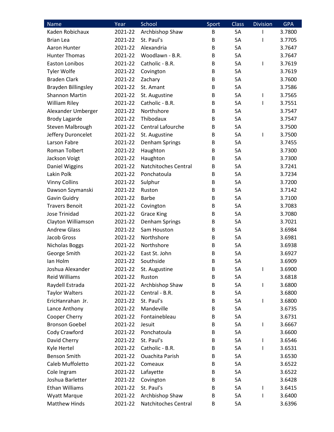| <b>Name</b>                | Year    | School                      | Sport | <b>Class</b> | <b>Division</b> | <b>GPA</b> |
|----------------------------|---------|-----------------------------|-------|--------------|-----------------|------------|
| Kaden Robichaux            | 2021-22 | Archbishop Shaw             | B     | <b>5A</b>    | ı               | 3.7800     |
| <b>Brian Lea</b>           | 2021-22 | St. Paul's                  | B     | 5A           | I               | 3.7705     |
| Aaron Hunter               | 2021-22 | Alexandria                  | B     | 5A           |                 | 3.7647     |
| <b>Hunter Thomas</b>       | 2021-22 | Woodlawn - B.R.             | B     | <b>5A</b>    |                 | 3.7647     |
| <b>Easton Lonibos</b>      | 2021-22 | Catholic - B.R.             | B     | 5A           | ı               | 3.7619     |
| <b>Tyler Wolfe</b>         | 2021-22 | Covington                   | B     | 5A           |                 | 3.7619     |
| <b>Braden Clark</b>        | 2021-22 | Zachary                     | B     | 5A           |                 | 3.7600     |
| <b>Brayden Billingsley</b> | 2021-22 | St. Amant                   | B     | 5A           |                 | 3.7586     |
| <b>Shannon Martin</b>      | 2021-22 | St. Augustine               | B     | 5A           | I               | 3.7565     |
| <b>William Riley</b>       | 2021-22 | Catholic - B.R.             | B     | 5A           | I               | 3.7551     |
| Alexander Umberger         | 2021-22 | Northshore                  | B     | 5A           |                 | 3.7547     |
| <b>Brody Lagarde</b>       | 2021-22 | Thibodaux                   | B     | 5A           |                 | 3.7547     |
| Steven Malbrough           | 2021-22 | Central Lafourche           | B     | 5A           |                 | 3.7500     |
| Jeffery Duroncelet         | 2021-22 | St. Augustine               | B     | 5A           | I               | 3.7500     |
| Larson Fabre               | 2021-22 | Denham Springs              | B     | 5A           |                 | 3.7455     |
| Roman Tolbert              | 2021-22 | Haughton                    | B     | 5A           |                 | 3.7300     |
| Jackson Voigt              | 2021-22 | Haughton                    | B     | 5A           |                 | 3.7300     |
| <b>Daniel Wiggins</b>      | 2021-22 | <b>Natchitoches Central</b> | B     | 5A           |                 | 3.7241     |
| Lakin Polk                 | 2021-22 | Ponchatoula                 | B     | <b>5A</b>    |                 | 3.7234     |
| <b>Vinny Collins</b>       | 2021-22 | Sulphur                     | B     | 5A           |                 | 3.7200     |
| Dawson Szymanski           | 2021-22 | Ruston                      | B     | 5A           |                 | 3.7142     |
| Gavin Guidry               | 2021-22 | <b>Barbe</b>                | B     | 5A           |                 | 3.7100     |
| <b>Travers Benoit</b>      | 2021-22 | Covington                   | B     | 5A           |                 | 3.7083     |
| <b>Jose Trinidad</b>       | 2021-22 | <b>Grace King</b>           | B     | 5A           |                 | 3.7080     |
| Clayton Williamson         | 2021-22 | Denham Springs              | B     | 5A           |                 | 3.7021     |
| <b>Andrew Glass</b>        | 2021-22 | Sam Houston                 | B     | 5A           |                 | 3.6984     |
| Jacob Gross                | 2021-22 | Northshore                  | B     | 5A           |                 | 3.6981     |
| Nicholas Boggs             | 2021-22 | Northshore                  | B     | 5A           |                 | 3.6938     |
| George Smith               | 2021-22 | East St. John               | B     | 5A           |                 | 3.6927     |
| lan Holm                   | 2021-22 | Southside                   | B     | 5A           |                 | 3.6909     |
| Joshua Alexander           | 2021-22 | St. Augustine               | B     | 5A           | ı               | 3.6900     |
| <b>Reid Williams</b>       | 2021-22 | Ruston                      | B     | 5A           |                 | 3.6818     |
| Raydell Estrada            | 2021-22 | Archbishop Shaw             | B     | 5A           | I               | 3.6800     |
| <b>Taylor Walters</b>      | 2021-22 | Central - B.R.              | В     | 5A           |                 | 3.6800     |
| EricHanrahan Jr.           | 2021-22 | St. Paul's                  | B     | 5A           | ı               | 3.6800     |
| Lance Anthony              | 2021-22 | Mandeville                  | В     | 5A           |                 | 3.6735     |
| Cooper Cherry              | 2021-22 | Fontainebleau               | B     | 5A           |                 | 3.6731     |
| <b>Bronson Goebel</b>      | 2021-22 | Jesuit                      | B     | 5A           | I               | 3.6667     |
| Cody Crawford              | 2021-22 | Ponchatoula                 | B     | 5A           |                 | 3.6600     |
| David Cherry               | 2021-22 | St. Paul's                  | В     | 5A           | I               | 3.6546     |
| Kyle Hertel                | 2021-22 | Catholic - B.R.             | В     | 5A           | I               | 3.6531     |
| <b>Benson Smith</b>        | 2021-22 | <b>Ouachita Parish</b>      | B     | 5A           |                 | 3.6530     |
| Caleb Muffoletto           | 2021-22 | Comeaux                     | B     | 5A           |                 | 3.6522     |
| Cole Ingram                | 2021-22 | Lafayette                   | B     | 5A           |                 | 3.6522     |
| Joshua Barletter           | 2021-22 | Covington                   | B     | 5A           |                 | 3.6428     |
| <b>Ethan Williams</b>      | 2021-22 | St. Paul's                  | B     | 5A           | I               | 3.6415     |
| <b>Wyatt Marque</b>        | 2021-22 | Archbishop Shaw             | B     | 5A           | I               | 3.6400     |
| <b>Matthew Hinds</b>       | 2021-22 | Natchitoches Central        | B     | 5A           |                 | 3.6396     |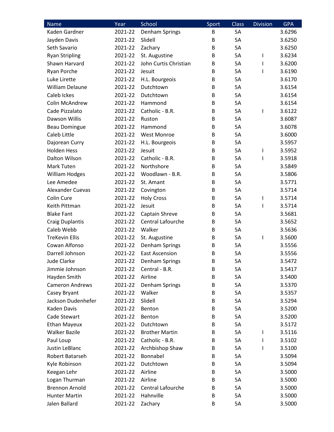| Name                    | Year    | School                | Sport | <b>Class</b> | <b>Division</b> | <b>GPA</b> |
|-------------------------|---------|-----------------------|-------|--------------|-----------------|------------|
| Kaden Gardner           | 2021-22 | Denham Springs        | B     | <b>5A</b>    |                 | 3.6296     |
| Jayden Davis            | 2021-22 | Slidell               | B     | 5A           |                 | 3.6250     |
| Seth Savario            | 2021-22 | Zachary               | B     | 5A           |                 | 3.6250     |
| <b>Ryan Stripling</b>   | 2021-22 | St. Augustine         | B     | 5A           | I               | 3.6234     |
| Shawn Harvard           | 2021-22 | John Curtis Christian | B     | <b>5A</b>    | I               | 3.6200     |
| Ryan Porche             | 2021-22 | Jesuit                | B     | 5A           | ı               | 3.6190     |
| Luke Lirette            | 2021-22 | H.L. Bourgeois        | B     | 5A           |                 | 3.6170     |
| <b>William Delaune</b>  | 2021-22 | Dutchtown             | B     | 5A           |                 | 3.6154     |
| Caleb Ickes             | 2021-22 | Dutchtown             | B     | 5A           |                 | 3.6154     |
| Colin McAndrew          | 2021-22 | Hammond               | B     | 5A           |                 | 3.6154     |
| Cade Pizzalato          | 2021-22 | Catholic - B.R.       | B     | 5A           | ı               | 3.6122     |
| Dawson Willis           | 2021-22 | Ruston                | B     | 5A           |                 | 3.6087     |
| <b>Beau Domingue</b>    | 2021-22 | Hammond               | B     | 5A           |                 | 3.6078     |
| Caleb Little            | 2021-22 | <b>West Monroe</b>    | B     | <b>5A</b>    |                 | 3.6000     |
| Dajorean Curry          | 2021-22 | H.L. Bourgeois        | B     | 5A           |                 | 3.5957     |
| <b>Holden Hess</b>      | 2021-22 | Jesuit                | B     | 5A           | I               | 3.5952     |
| Dalton Wilson           | 2021-22 | Catholic - B.R.       | B     | 5A           | I               | 3.5918     |
| Mark Tuten              | 2021-22 | Northshore            | B     | 5A           |                 | 3.5849     |
| <b>William Hodges</b>   | 2021-22 | Woodlawn - B.R.       | B     | 5A           |                 | 3.5806     |
| Lee Amedee              | 2021-22 | St. Amant             | B     | <b>5A</b>    |                 | 3.5771     |
| <b>Alexander Cuevas</b> | 2021-22 | Covington             | B     | 5A           |                 | 3.5714     |
| Colin Cure              | 2021-22 | <b>Holy Cross</b>     | B     | 5A           | I               | 3.5714     |
| Keith Pittman           | 2021-22 | Jesuit                | B     | 5A           | ı               | 3.5714     |
| <b>Blake Fant</b>       | 2021-22 | Captain Shreve        | B     | 5A           |                 | 3.5681     |
| <b>Craig Duplantis</b>  | 2021-22 | Central Lafourche     | B     | 5A           |                 | 3.5652     |
| Caleb Webb              | 2021-22 | Walker                | B     | 5A           |                 | 3.5636     |
| <b>TreKevin Ellis</b>   | 2021-22 | St. Augustine         | B     | 5A           | I               | 3.5600     |
| Cowan Alfonso           | 2021-22 | Denham Springs        | B     | 5A           |                 | 3.5556     |
| Darrell Johnson         | 2021-22 | <b>East Ascension</b> | B     | 5A           |                 | 3.5556     |
| <b>Jude Clarke</b>      | 2021-22 | Denham Springs        | B     | 5A           |                 | 3.5472     |
| Jimmie Johnson          | 2021-22 | Central - B.R.        | В     | 5A           |                 | 3.5417     |
| Hayden Smith            | 2021-22 | Airline               | B     | 5A           |                 | 3.5400     |
| <b>Cameron Andrews</b>  | 2021-22 | Denham Springs        | B     | 5A           |                 | 3.5370     |
| Casey Bryant            | 2021-22 | Walker                | B     | 5A           |                 | 3.5357     |
| Jackson Dudenhefer      | 2021-22 | Slidell               | B     | 5A           |                 | 3.5294     |
| Kaden Davis             | 2021-22 | Benton                | В     | 5A           |                 | 3.5200     |
| Cade Stewart            | 2021-22 | Benton                | B     | 5A           |                 | 3.5200     |
| <b>Ethan Mayeux</b>     | 2021-22 | Dutchtown             | B     | 5A           |                 | 3.5172     |
| <b>Walker Bazile</b>    | 2021-22 | <b>Brother Martin</b> | B     | 5A           | I               | 3.5116     |
| Paul Loup               | 2021-22 | Catholic - B.R.       | B     | 5A           | I               | 3.5102     |
| Justin LeBlanc          | 2021-22 | Archbishop Shaw       | В     | 5A           | I               | 3.5100     |
| Robert Batarseh         | 2021-22 | Bonnabel              | B     | 5A           |                 | 3.5094     |
| Kyle Robinson           | 2021-22 | Dutchtown             | В     | 5A           |                 | 3.5094     |
| Keegan Lehr             | 2021-22 | Airline               | B     | 5A           |                 | 3.5000     |
| Logan Thurman           | 2021-22 | Airline               | B     | 5A           |                 | 3.5000     |
| <b>Brennon Arnold</b>   | 2021-22 | Central Lafourche     | B     | 5A           |                 | 3.5000     |
| <b>Hunter Martin</b>    | 2021-22 | Hahnville             | B     | 5A           |                 | 3.5000     |
| Jalen Ballard           | 2021-22 | Zachary               | B     | 5A           |                 | 3.5000     |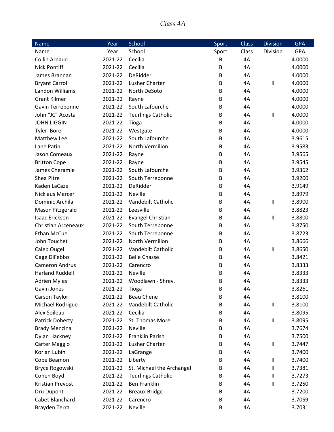### *Class 4A*

| <b>Name</b>                | Year    | School                    | Sport | <b>Class</b> | <b>Division</b>            | <b>GPA</b> |
|----------------------------|---------|---------------------------|-------|--------------|----------------------------|------------|
| Name                       | Year    | School                    | Sport | Class        | Division                   | <b>GPA</b> |
| <b>Collin Arnaud</b>       | 2021-22 | Cecilia                   | B     | 4A           |                            | 4.0000     |
| <b>Nick Pontiff</b>        | 2021-22 | Cecilia                   | B     | 4A           |                            | 4.0000     |
| James Brannan              | 2021-22 | DeRidder                  | B     | 4A           |                            | 4.0000     |
| <b>Bryant Carroll</b>      | 2021-22 | Lusher Charter            | B     | 4A           | Ш                          | 4.0000     |
| Landon Williams            | 2021-22 | North DeSoto              | B     | 4A           |                            | 4.0000     |
| <b>Grant Kilmer</b>        | 2021-22 | Rayne                     | B     | 4A           |                            | 4.0000     |
| Gavin Terrebonne           | 2021-22 | South Lafourche           | B     | 4A           |                            | 4.0000     |
| John "JC" Acosta           | 2021-22 | <b>Teurlings Catholic</b> | B     | 4A           | Ш                          | 4.0000     |
| <b>JOHN LIGGIN</b>         | 2021-22 | Tioga                     | B     | 4A           |                            | 4.0000     |
| Tyler Borel                | 2021-22 | Westgate                  | B     | 4A           |                            | 4.0000     |
| Matthew Lee                | 2021-22 | South Lafourche           | B     | 4A           |                            | 3.9615     |
| Lane Patin                 | 2021-22 | North Vermilion           | B     | 4A           |                            | 3.9583     |
| Jason Comeaux              | 2021-22 | Rayne                     | B     | 4A           |                            | 3.9565     |
| <b>Britton Cope</b>        | 2021-22 | Rayne                     | B     | 4A           |                            | 3.9545     |
| James Cheramie             | 2021-22 | South Lafourche           | B     | 4A           |                            | 3.9362     |
| Shea Pitre                 | 2021-22 | South Terrebonne          | B     | 4A           |                            | 3.9200     |
| Kaden LaCaze               | 2021-22 | DeRidder                  | B     | 4A           |                            | 3.9149     |
| <b>Nicklaus Mercer</b>     | 2021-22 | <b>Neville</b>            | B     | 4A           |                            | 3.8979     |
| Dominic Archila            | 2021-22 | Vandebilt Catholic        | B     | 4A           | Ш                          | 3.8900     |
| Mason Fitzgerald           | 2021-22 | Leesville                 | B     | 4A           |                            | 3.8823     |
| <b>Isaac Erickson</b>      | 2021-22 | Evangel Christian         | B     | 4A           | Ш                          | 3.8800     |
| <b>Christian Arceneaux</b> | 2021-22 | South Terrebonne          | В     | 4A           |                            | 3.8750     |
| <b>Ethan McCue</b>         | 2021-22 | South Terrebonne          | B     | 4A           |                            | 3.8723     |
| John Touchet               | 2021-22 | North Vermilion           | B     | 4A           |                            | 3.8666     |
| Caleb Ougel                | 2021-22 | Vandebilt Catholic        | B     | 4A           | $\mathsf{II}$              | 3.8650     |
| Gage DiFebbo               | 2021-22 | <b>Belle Chasse</b>       | B     | 4A           |                            | 3.8421     |
| <b>Cameron Andrus</b>      | 2021-22 | Carencro                  | B     | 4A           |                            | 3.8333     |
| <b>Harland Ruddell</b>     | 2021-22 | Neville                   | B     | 4A           |                            | 3.8333     |
| <b>Adrien Myles</b>        | 2021-22 | Woodlawn - Shrev.         | B     | 4A           |                            | 3.8333     |
| Gavin Jones                | 2021-22 | Tioga                     | B     | 4A           |                            | 3.8261     |
| Carson Taylor              | 2021-22 | <b>Beau Chene</b>         | В     | 4A           |                            | 3.8100     |
| Michael Rodrigue           | 2021-22 | Vandebilt Catholic        | B     | 4A           | Ш                          | 3.8100     |
| Alex Soileau               | 2021-22 | Cecilia                   | В     | 4A           |                            | 3.8095     |
| Patrick Doherty            | 2021-22 | St. Thomas More           | В     | 4A           | Ш                          | 3.8095     |
| <b>Brady Menzina</b>       | 2021-22 | <b>Neville</b>            | B     | 4A           |                            | 3.7674     |
| Dylan Hackney              | 2021-22 | Franklin Parish           | B     | 4A           |                            | 3.7500     |
| Carter Maggio              | 2021-22 | Lusher Charter            | B     | 4A           | $\sf II$                   | 3.7447     |
| Korian Lubin               | 2021-22 | LaGrange                  | В     | 4A           |                            | 3.7400     |
| Cobe Beamon                | 2021-22 | Liberty                   | B     | 4A           | $\ensuremath{\mathsf{II}}$ | 3.7400     |
| Bryce Rogowski             | 2021-22 | St. Michael the Archangel | В     | 4A           | $\ensuremath{\mathsf{II}}$ | 3.7381     |
| Cohen Boyd                 | 2021-22 | <b>Teurlings Catholic</b> | В     | 4A           | $\mathsf{II}$              | 3.7273     |
| Kristian Prevost           | 2021-22 | <b>Ben Franklin</b>       | В     | 4A           | Ш                          | 3.7250     |
| Dru Dupont                 | 2021-22 | <b>Breaux Bridge</b>      | B     | 4A           |                            | 3.7200     |
| Cabet Blanchard            | 2021-22 | Carencro                  | B     | 4A           |                            | 3.7059     |
| Brayden Terra              | 2021-22 | Neville                   | B     | 4A           |                            | 3.7031     |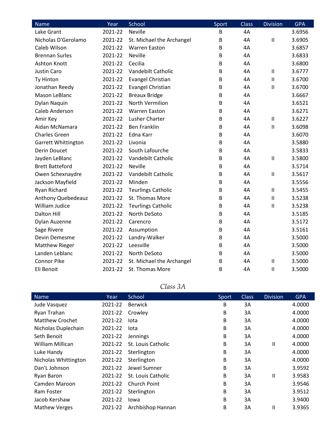| Name                       | Year    | School                    | Sport | <b>Class</b> | <b>Division</b>            | <b>GPA</b> |
|----------------------------|---------|---------------------------|-------|--------------|----------------------------|------------|
| Lake Grant                 | 2021-22 | <b>Neville</b>            | B     | 4A           |                            | 3.6956     |
| Nicholas D'Gerolamo        | 2021-22 | St. Michael the Archangel | В     | 4A           | $\mathbf{I}$               | 3.6905     |
| Caleb Wilson               | 2021-22 | <b>Warren Easton</b>      | B     | 4A           |                            | 3.6857     |
| <b>Brennan Surles</b>      | 2021-22 | <b>Neville</b>            | B     | 4A           |                            | 3.6833     |
| Ashton Knott               | 2021-22 | Cecilia                   | В     | 4A           |                            | 3.6800     |
| <b>Justin Caro</b>         | 2021-22 | Vandebilt Catholic        | B     | 4A           | $\ensuremath{\mathsf{II}}$ | 3.6777     |
| Ty Hinton                  | 2021-22 | <b>Evangel Christian</b>  | B     | 4A           | $\mathbf{I}$               | 3.6700     |
| Jonathan Reedy             | 2021-22 | Evangel Christian         | В     | 4A           | $\mathbf{I}$               | 3.6700     |
| Mason LeBlanc              | 2021-22 | <b>Breaux Bridge</b>      | B     | 4A           |                            | 3.6667     |
| Dylan Naquin               | 2021-22 | North Vermilion           | B     | 4A           |                            | 3.6521     |
| Caleb Anderson             | 2021-22 | <b>Warren Easton</b>      | В     | 4A           |                            | 3.6271     |
| Amir Key                   | 2021-22 | Lusher Charter            | B     | 4A           | $\sf II$                   | 3.6227     |
| Aidan McNamara             | 2021-22 | <b>Ben Franklin</b>       | B     | 4A           | $\mathbf{I}$               | 3.6098     |
| <b>Charles Green</b>       | 2021-22 | Edna Karr                 | В     | 4A           |                            | 3.6070     |
| <b>Garrett Whittington</b> | 2021-22 | Livonia                   | B     | 4A           |                            | 3.5880     |
| <b>Derin Doucet</b>        | 2021-22 | South Lafourche           | B     | 4A           |                            | 3.5833     |
| Jayden LeBlanc             | 2021-22 | Vandebilt Catholic        | B     | 4A           | $\sf II$                   | 3.5800     |
| <b>Brett Batteford</b>     | 2021-22 | <b>Neville</b>            | B     | 4A           |                            | 3.5714     |
| Owen Schexnaydre           | 2021-22 | Vandebilt Catholic        | B     | 4A           | $\mathbf{I}$               | 3.5617     |
| Jackson Mayfield           | 2021-22 | Minden                    | B     | 4A           |                            | 3.5556     |
| Ryan Richard               | 2021-22 | <b>Teurlings Catholic</b> | B     | 4A           | $\ensuremath{\mathsf{II}}$ | 3.5455     |
| Anthony Quebedeauz         | 2021-22 | St. Thomas More           | B     | 4A           | $\mathbf{I}$               | 3.5238     |
| William Judice             | 2021-22 | <b>Teurlings Catholic</b> | B     | 4A           | $\sf II$                   | 3.5238     |
| <b>Dalton Hill</b>         | 2021-22 | North DeSoto              | B     | 4A           |                            | 3.5185     |
| Dylan Auzenne              | 2021-22 | Carencro                  | B     | 4A           |                            | 3.5172     |
| Sage Rivere                | 2021-22 | Assumption                | B     | 4A           |                            | 3.5161     |
| Devin Demesme              | 2021-22 | Landry-Walker             | B     | 4A           |                            | 3.5000     |
| <b>Matthew Rieger</b>      | 2021-22 | Leesville                 | B     | 4A           |                            | 3.5000     |
| Landen Leblanc             | 2021-22 | North DeSoto              | В     | 4A           |                            | 3.5000     |
| <b>Connor Pike</b>         | 2021-22 | St. Michael the Archangel | B     | 4A           | $\sf II$                   | 3.5000     |
| Eli Benoit                 | 2021-22 | St. Thomas More           | B     | 4A           | $\mathbf{I}$               | 3.5000     |

| Class $\mathfrak{d}$ |  |
|----------------------|--|
|                      |  |

| Name                   | Year    | School              | Sport | <b>Class</b> | <b>Division</b> | <b>GPA</b> |
|------------------------|---------|---------------------|-------|--------------|-----------------|------------|
| Jude Vasquez           | 2021-22 | <b>Berwick</b>      | B     | 3A           |                 | 4.0000     |
| Ryan Trahan            | 2021-22 | Crowley             | B     | 3A           |                 | 4.0000     |
| <b>Matthew Crochet</b> | 2021-22 | lota                | B     | 3A           |                 | 4.0000     |
| Nicholas Duplechain    | 2021-22 | lota                | B     | 3A           |                 | 4.0000     |
| Seth Benoit            | 2021-22 | Jennings            | B     | 3A           |                 | 4.0000     |
| William Millican       | 2021-22 | St. Louis Catholic  | B     | 3A           | $\mathbf{H}$    | 4.0000     |
| Luke Handy             | 2021-22 | Sterlington         | B     | 3A           |                 | 4.0000     |
| Nicholas Whittington   | 2021-22 | Sterlington         | B     | 3A           |                 | 4.0000     |
| Dan't Johnson          | 2021-22 | Jewel Sumner        | B     | 3A           |                 | 3.9592     |
| Ryan Baron             | 2021-22 | St. Louis Catholic  | B     | 3A           | Ш               | 3.9583     |
| Camden Maroon          | 2021-22 | <b>Church Point</b> | B     | 3A           |                 | 3.9546     |
| Ram Foster             | 2021-22 | Sterlington         | B     | 3A           |                 | 3.9512     |
| Jacob Kershaw          | 2021-22 | lowa                | B     | 3A           |                 | 3.9400     |
| <b>Mathew Verges</b>   | 2021-22 | Archbishop Hannan   | B     | 3A           | Ш               | 3.9365     |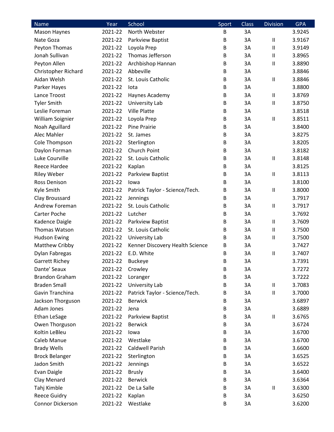| Name                  | Year    | School                          | Sport | <b>Class</b> | <b>Division</b>            | <b>GPA</b> |
|-----------------------|---------|---------------------------------|-------|--------------|----------------------------|------------|
| <b>Mason Haynes</b>   | 2021-22 | North Webster                   | B     | 3A           |                            | 3.9245     |
| Nate Goza             | 2021-22 | Parkview Baptist                | B     | 3A           | $\ensuremath{\mathsf{II}}$ | 3.9167     |
| Peyton Thomas         | 2021-22 | Loyola Prep                     | B     | 3A           | $\ensuremath{\mathsf{II}}$ | 3.9149     |
| Jonah Sullivan        | 2021-22 | Thomas Jefferson                | B     | 3A           | $\sf II$                   | 3.8965     |
| Peyton Allen          | 2021-22 | Archbishop Hannan               | B     | 3A           | $\ensuremath{\mathsf{II}}$ | 3.8890     |
| Christopher Richard   | 2021-22 | Abbeville                       | B     | 3A           |                            | 3.8846     |
| Aidan Welsh           | 2021-22 | St. Louis Catholic              | B     | 3A           | $\ensuremath{\mathsf{II}}$ | 3.8846     |
| Parker Hayes          | 2021-22 | lota                            | B     | 3A           |                            | 3.8800     |
| Lance Troost          | 2021-22 | Haynes Academy                  | B     | 3A           | $\ensuremath{\mathsf{II}}$ | 3.8769     |
| <b>Tyler Smith</b>    | 2021-22 | University Lab                  | B     | 3A           | $\ensuremath{\mathsf{II}}$ | 3.8750     |
| Leslie Foreman        | 2021-22 | <b>Ville Platte</b>             | B     | 3A           |                            | 3.8518     |
| William Soignier      | 2021-22 | Loyola Prep                     | B     | 3A           | $\sf II$                   | 3.8511     |
| Noah Aguillard        | 2021-22 | <b>Pine Prairie</b>             | B     | 3A           |                            | 3.8400     |
| Alec Mahler           | 2021-22 | St. James                       | B     | 3A           |                            | 3.8275     |
| Cole Thompson         | 2021-22 | Sterlington                     | B     | 3A           |                            | 3.8205     |
| Daylon Forman         | 2021-22 | Church Point                    | B     | 3A           |                            | 3.8182     |
| Luke Courville        | 2021-22 | St. Louis Catholic              | B     | 3A           | $\ensuremath{\mathsf{II}}$ | 3.8148     |
| Reece Hardee          | 2021-22 | Kaplan                          | B     | 3A           |                            | 3.8125     |
| <b>Riley Weber</b>    | 2021-22 | Parkview Baptist                | B     | 3A           | $\ensuremath{\mathsf{II}}$ | 3.8113     |
| Ross Denison          | 2021-22 | lowa                            | B     | 3A           |                            | 3.8100     |
| Kyle Smith            | 2021-22 | Patrick Taylor - Science/Tech.  | B     | 3A           | $\ensuremath{\mathsf{II}}$ | 3.8000     |
| Clay Broussard        | 2021-22 | Jennings                        | B     | 3A           |                            | 3.7917     |
| Andrew Foreman        | 2021-22 | St. Louis Catholic              | B     | 3A           | $\sf II$                   | 3.7917     |
| Carter Poche          | 2021-22 | Lutcher                         | B     | 3A           |                            | 3.7692     |
| Kadence Daigle        | 2021-22 | Parkview Baptist                | B     | 3A           | $\ensuremath{\mathsf{II}}$ | 3.7609     |
| Thomas Watson         | 2021-22 | St. Louis Catholic              | B     | 3A           | $\mathbf{II}$              | 3.7500     |
| <b>Hudson Ewing</b>   | 2021-22 | University Lab                  | B     | 3A           | $\sf II$                   | 3.7500     |
| Matthew Cribby        | 2021-22 | Kenner Discovery Health Science | B     | 3A           |                            | 3.7427     |
| Dylan Fabregas        | 2021-22 | E.D. White                      | B     | 3A           | $\ensuremath{\mathsf{II}}$ | 3.7407     |
| <b>Garrett Richey</b> | 2021-22 | <b>Buckeye</b>                  | B     | 3A           |                            | 3.7391     |
| Dante' Seaux          | 2021-22 | Crowley                         | В     | 3A           |                            | 3.7272     |
| <b>Brandon Graham</b> | 2021-22 | Loranger                        | B     | 3A           |                            | 3.7222     |
| <b>Braden Small</b>   | 2021-22 | University Lab                  | В     | 3A           | $\ensuremath{\mathsf{II}}$ | 3.7083     |
| Gavin Tranchina       | 2021-22 | Patrick Taylor - Science/Tech.  | B     | 3A           | $\sf II$                   | 3.7000     |
| Jackson Thorguson     | 2021-22 | <b>Berwick</b>                  | B     | 3A           |                            | 3.6897     |
| Adam Jones            | 2021-22 | Jena                            | B     | 3A           |                            | 3.6889     |
| Ethan LeSage          | 2021-22 | Parkview Baptist                | В     | 3A           | $\sf II$                   | 3.6765     |
| Owen Thorguson        | 2021-22 | <b>Berwick</b>                  | В     | 3A           |                            | 3.6724     |
| Koltin LeBleu         | 2021-22 | lowa                            | B     | 3A           |                            | 3.6700     |
| Caleb Manue           | 2021-22 | Westlake                        | В     | 3A           |                            | 3.6700     |
| <b>Brady Wells</b>    | 2021-22 | <b>Caldwell Parish</b>          | B     | 3A           |                            | 3.6600     |
| <b>Brock Belanger</b> | 2021-22 | Sterlington                     | B     | 3A           |                            | 3.6525     |
| Jadon Smith           | 2021-22 | Jennings                        | В     | 3A           |                            | 3.6522     |
| Evan Daigle           | 2021-22 | <b>Brusly</b>                   | B     | 3A           |                            | 3.6400     |
| Clay Menard           | 2021-22 | <b>Berwick</b>                  | В     | 3A           |                            | 3.6364     |
| Tahj Kimble           | 2021-22 | De La Salle                     | B     | 3A           | $\ensuremath{\mathsf{II}}$ | 3.6300     |
| Reece Guidry          | 2021-22 | Kaplan                          | B     | 3A           |                            | 3.6250     |
| Connor Dickerson      | 2021-22 | Westlake                        | B     | 3A           |                            | 3.6200     |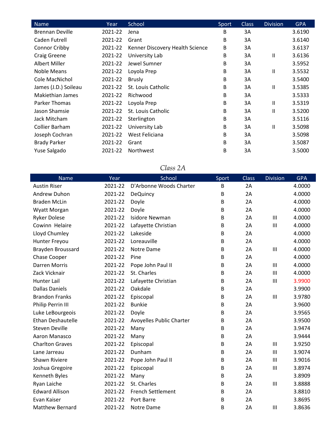| <b>Name</b>            | Year    | School                          | Sport | <b>Class</b> | <b>Division</b>            | <b>GPA</b> |
|------------------------|---------|---------------------------------|-------|--------------|----------------------------|------------|
| <b>Brennan Deville</b> | 2021-22 | Jena                            | В     | 3A           |                            | 3.6190     |
| Caden Futrell          | 2021-22 | Grant                           | В     | 3A           |                            | 3.6140     |
| Connor Cribby          | 2021-22 | Kenner Discovery Health Science | В     | 3A           |                            | 3.6137     |
| <b>Craig Greene</b>    | 2021-22 | University Lab                  | В     | 3A           | Ш                          | 3.6136     |
| Albert Miller          | 2021-22 | Jewel Sumner                    | В     | 3A           |                            | 3.5952     |
| Noble Means            | 2021-22 | Loyola Prep                     | В     | 3A           | Ш                          | 3.5532     |
| Cole MacNichol         | 2021-22 | <b>Brusly</b>                   | В     | 3A           |                            | 3.5400     |
| James (J.D.) Soileau   | 2021-22 | St. Louis Catholic              | В     | 3A           | $\ensuremath{\mathsf{II}}$ | 3.5385     |
| Makiethian James       | 2021-22 | Richwood                        | В     | 3A           |                            | 3.5333     |
| Parker Thomas          | 2021-22 | Loyola Prep                     | В     | 3A           | Ш                          | 3.5319     |
| Jason Shamsie          | 2021-22 | St. Louis Catholic              | В     | 3A           | $\mathsf{I}$               | 3.5200     |
| Jack Mitcham           | 2021-22 | Sterlington                     | В     | 3A           |                            | 3.5116     |
| Collier Barham         | 2021-22 | University Lab                  | В     | 3A           | Ш                          | 3.5098     |
| Joseph Cochran         | 2021-22 | West Feliciana                  | В     | 3A           |                            | 3.5098     |
| <b>Brady Parker</b>    | 2021-22 | Grant                           | В     | 3A           |                            | 3.5087     |
| Yuse Salgado           | 2021-22 | <b>Northwest</b>                | В     | 3A           |                            | 3.5000     |

## *Class 2A*

| <b>Name</b>              | Year    | School                          | Sport | <b>Class</b> | <b>Division</b> | <b>GPA</b> |
|--------------------------|---------|---------------------------------|-------|--------------|-----------------|------------|
| <b>Austin Riser</b>      | 2021-22 | D'Arbonne Woods Charter         | В     | 2A           |                 | 4.0000     |
| Andrew Duhon             | 2021-22 | <b>DeQuincy</b>                 | В     | 2A           |                 | 4.0000     |
| <b>Braden McLin</b>      | 2021-22 | Doyle                           | В     | 2A           |                 | 4.0000     |
| Wyatt Morgan             | 2021-22 | Doyle                           | B     | 2A           |                 | 4.0000     |
| <b>Ryker Dolese</b>      | 2021-22 | <b>Isidore Newman</b>           | В     | 2A           | III             | 4.0000     |
| Cowinn Helaire           | 2021-22 | Lafayette Christian             | В     | 2A           | III             | 4.0000     |
| Lloyd Chumley            | 2021-22 | Lakeside                        | В     | 2A           |                 | 4.0000     |
| Hunter Freyou            | 2021-22 | Loreauville                     | В     | 2A           |                 | 4.0000     |
| Brayden Broussard        | 2021-22 | Notre Dame                      | B     | 2A           | $\mathbf{III}$  | 4.0000     |
| Chase Cooper             | 2021-22 | Pine                            | В     | 2A           |                 | 4.0000     |
| <b>Darren Morris</b>     | 2021-22 | Pope John Paul II               | В     | 2A           | III             | 4.0000     |
| Zack Vicknair            | 2021-22 | St. Charles                     | В     | 2A           | $\mathbf{III}$  | 4.0000     |
| Hunter Lail              | 2021-22 | Lafayette Christian             | B     | 2A           | Ш               | 3.9900     |
| <b>Dallas Daniels</b>    | 2021-22 | Oakdale                         | В     | 2A           |                 | 3.9900     |
| <b>Brandon Franks</b>    | 2021-22 | Episcopal                       | В     | 2A           | $\mathbf{III}$  | 3.9780     |
| Philip Perrin III        | 2021-22 | <b>Bunkie</b>                   | В     | 2A           |                 | 3.9600     |
| Luke LeBourgeois         | 2021-22 | Doyle                           | В     | 2A           |                 | 3.9565     |
| <b>Ethan Deshautelle</b> | 2021-22 | <b>Avoyelles Public Charter</b> | В     | 2A           |                 | 3.9500     |
| <b>Steven Deville</b>    | 2021-22 | Many                            | В     | 2A           |                 | 3.9474     |
| Aaron Manasco            | 2021-22 | Many                            | В     | 2A           |                 | 3.9444     |
| <b>Charlton Graves</b>   | 2021-22 | Episcopal                       | В     | 2A           | $\mathbf{III}$  | 3.9250     |
| Lane Jarreau             | 2021-22 | Dunham                          | В     | 2A           | III             | 3.9074     |
| Shawn Riviere            | 2021-22 | Pope John Paul II               | В     | 2A           | Ш               | 3.9016     |
| Joshua Gregoire          | 2021-22 | Episcopal                       | В     | 2A           | Ш               | 3.8974     |
| Kenneth Byles            | 2021-22 | Many                            | В     | 2A           |                 | 3.8909     |
| Ryan Laiche              | 2021-22 | St. Charles                     | В     | 2A           | $\mathbf{III}$  | 3.8888     |
| <b>Edward Allison</b>    | 2021-22 | <b>French Settlement</b>        | В     | 2A           |                 | 3.8810     |
| Evan Kaiser              | 2021-22 | Port Barre                      | В     | 2A           |                 | 3.8695     |
| <b>Matthew Bernard</b>   | 2021-22 | Notre Dame                      | B     | 2A           | $\mathbf{III}$  | 3.8636     |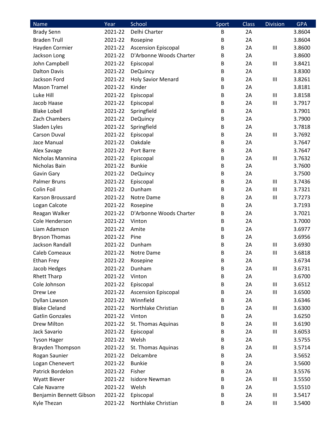| <b>Name</b>             | Year    | School                     | Sport | <b>Class</b> | <b>Division</b> | <b>GPA</b> |
|-------------------------|---------|----------------------------|-------|--------------|-----------------|------------|
| <b>Brady Senn</b>       | 2021-22 | Delhi Charter              | В     | 2A           |                 | 3.8604     |
| <b>Braden Trull</b>     | 2021-22 | Rosepine                   | В     | 2A           |                 | 3.8604     |
| Hayden Cormier          | 2021-22 | <b>Ascension Episcopal</b> | B     | 2A           | $\mathbf{III}$  | 3.8600     |
| Jackson Long            | 2021-22 | D'Arbonne Woods Charter    | В     | 2A           |                 | 3.8600     |
| John Campbell           | 2021-22 | Episcopal                  | В     | 2A           | Ш               | 3.8421     |
| <b>Dalton Davis</b>     | 2021-22 | <b>DeQuincy</b>            | B     | 2A           |                 | 3.8300     |
| Jackson Ford            | 2021-22 | <b>Holy Savior Menard</b>  | B     | 2A           | Ш               | 3.8261     |
| <b>Mason Tramel</b>     | 2021-22 | Kinder                     | B     | 2A           |                 | 3.8181     |
| Luke Hill               | 2021-22 | Episcopal                  | В     | 2A           | Ш               | 3.8158     |
| Jacob Haase             | 2021-22 | Episcopal                  | В     | 2A           | $\mathbf{III}$  | 3.7917     |
| <b>Blake Lobell</b>     | 2021-22 | Springfield                | B     | 2A           |                 | 3.7901     |
| Zach Chambers           | 2021-22 | <b>DeQuincy</b>            | B     | 2A           |                 | 3.7900     |
| Sladen Lyles            | 2021-22 | Springfield                | В     | 2A           |                 | 3.7818     |
| <b>Carson Duval</b>     | 2021-22 | Episcopal                  | В     | 2A           | Ш               | 3.7692     |
| Jace Manual             | 2021-22 | Oakdale                    | B     | 2A           |                 | 3.7647     |
| Alex Savage             | 2021-22 | Port Barre                 | B     | 2A           |                 | 3.7647     |
| Nicholas Mannina        | 2021-22 | Episcopal                  | В     | 2A           | $\mathbf{III}$  | 3.7632     |
| Nicholas Bain           | 2021-22 | <b>Bunkie</b>              | В     | 2A           |                 | 3.7600     |
| Gavin Gary              | 2021-22 | <b>DeQuincy</b>            | В     | 2A           |                 | 3.7500     |
| <b>Palmer Bruns</b>     | 2021-22 | Episcopal                  | В     | 2A           | Ш               | 3.7436     |
| Colin Foil              | 2021-22 | Dunham                     | B     | 2A           | Ш               | 3.7321     |
| Karson Broussard        | 2021-22 | Notre Dame                 | B     | 2A           | Ш               | 3.7273     |
| Logan Calcote           | 2021-22 | Rosepine                   | B     | 2A           |                 | 3.7193     |
| Reagan Walker           | 2021-22 | D'Arbonne Woods Charter    | В     | 2A           |                 | 3.7021     |
| Cole Henderson          | 2021-22 | Vinton                     | B     | 2A           |                 | 3.7000     |
| Liam Adamson            | 2021-22 | Amite                      | В     | 2A           |                 | 3.6977     |
| <b>Bryson Thomas</b>    | 2021-22 | Pine                       | В     | 2A           |                 | 3.6956     |
| Jackson Randall         | 2021-22 | Dunham                     | В     | 2A           | $\mathbf{III}$  | 3.6930     |
| Caleb Comeaux           | 2021-22 | Notre Dame                 | В     | 2A           | Ш               | 3.6818     |
| <b>Ethan Frey</b>       | 2021-22 | Rosepine                   | B     | 2A           |                 | 3.6734     |
| Jacob Hedges            | 2021-22 | Dunham                     | В     | 2A           | Ш               | 3.6731     |
| <b>Rhett Tharp</b>      | 2021-22 | Vinton                     | В     | 2A           |                 | 3.6700     |
| Cole Johnson            | 2021-22 | Episcopal                  | B     | 2A           | Ш               | 3.6512     |
| Drew Lee                | 2021-22 | <b>Ascension Episcopal</b> | B     | 2A           | Ш               | 3.6500     |
| Dyllan Lawson           | 2021-22 | Winnfield                  | В     | 2A           |                 | 3.6346     |
| <b>Blake Cleland</b>    | 2021-22 | Northlake Christian        | В     | 2A           | Ш               | 3.6300     |
| <b>Gatlin Gonzales</b>  | 2021-22 | Vinton                     | В     | 2A           |                 | 3.6250     |
| Drew Milton             | 2021-22 | St. Thomas Aquinas         | В     | 2A           | Ш               | 3.6190     |
| Jack Savario            | 2021-22 | Episcopal                  | B     | 2A           | Ш               | 3.6053     |
| <b>Tyson Hager</b>      | 2021-22 | Welsh                      | В     | 2A           |                 | 3.5755     |
| <b>Brayden Thompson</b> | 2021-22 | St. Thomas Aquinas         | B     | 2A           | Ш               | 3.5714     |
| Rogan Saunier           | 2021-22 | Delcambre                  | В     | 2A           |                 | 3.5652     |
| Logan Chenevert         | 2021-22 | <b>Bunkie</b>              | В     | 2A           |                 | 3.5600     |
| Patrick Bordelon        | 2021-22 | Fisher                     | B     | 2A           |                 | 3.5576     |
| <b>Wyatt Biever</b>     | 2021-22 | <b>Isidore Newman</b>      | В     | 2A           | Ш               | 3.5550     |
| Cale Navarre            | 2021-22 | Welsh                      | B     | 2A           |                 | 3.5510     |
| Benjamin Bennett Gibson | 2021-22 | Episcopal                  | B     | 2A           | Ш               | 3.5417     |
| Kyle Thezan             | 2021-22 | Northlake Christian        | В     | 2A           | Ш               | 3.5400     |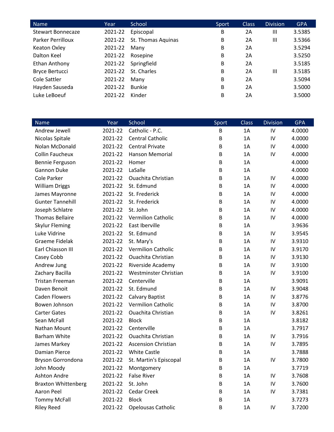| Name                  | Year    | School             | Sport | <b>Class</b> | <b>Division</b> | <b>GPA</b> |
|-----------------------|---------|--------------------|-------|--------------|-----------------|------------|
| Stewart Bonnecaze     | 2021-22 | Episcopal          | B     | 2A           | $\mathbf{III}$  | 3.5385     |
| Parker Perrilloux     | 2021-22 | St. Thomas Aquinas | В     | 2A           | Ш               | 3.5366     |
| Keaton Oxley          | 2021-22 | Many               | B     | 2A           |                 | 3.5294     |
| Dalton Keel           | 2021-22 | Rosepine           | B     | 2A           |                 | 3.5250     |
| Ethan Anthony         | 2021-22 | Springfield        | B     | 2A           |                 | 3.5185     |
| <b>Bryce Bertucci</b> | 2021-22 | St. Charles        | B     | 2A           | Ш               | 3.5185     |
| Cole Sattler          | 2021-22 | Many               | B     | 2A           |                 | 3.5094     |
| Hayden Sauseda        | 2021-22 | <b>Bunkie</b>      | B     | 2A           |                 | 3.5000     |
| Luke LeBoeuf          | 2021-22 | Kinder             | B     | 2A           |                 | 3.5000     |

| <b>Name</b>                | Year    | School                     | Sport | Class | <b>Division</b> | <b>GPA</b> |
|----------------------------|---------|----------------------------|-------|-------|-----------------|------------|
| Andrew Jewell              | 2021-22 | Catholic - P.C.            | B     | 1A    | IV              | 4.0000     |
| Nicolas Spitale            | 2021-22 | <b>Central Catholic</b>    | B     | 1A    | IV              | 4.0000     |
| Nolan McDonald             | 2021-22 | <b>Central Private</b>     | B     | 1A    | IV              | 4.0000     |
| <b>Collin Faucheux</b>     | 2021-22 | Hanson Memorial            | B     | 1A    | IV              | 4.0000     |
| Bennie Ferguson            | 2021-22 | Homer                      | В     | 1A    |                 | 4.0000     |
| Gannon Duke                | 2021-22 | LaSalle                    | В     | 1A    |                 | 4.0000     |
| Cole Parker                | 2021-22 | <b>Ouachita Christian</b>  | B     | 1A    | IV              | 4.0000     |
| <b>William Driggs</b>      | 2021-22 | St. Edmund                 | B     | 1A    | IV              | 4.0000     |
| James Mayronne             | 2021-22 | St. Frederick              | B     | 1A    | IV              | 4.0000     |
| <b>Gunter Tannehill</b>    | 2021-22 | St. Frederick              | B     | 1A    | IV              | 4.0000     |
| Joseph Schlatre            | 2021-22 | St. John                   | В     | 1A    | IV              | 4.0000     |
| <b>Thomas Bellaire</b>     | 2021-22 | <b>Vermilion Catholic</b>  | В     | 1A    | IV              | 4.0000     |
| <b>Skylur Fleming</b>      | 2021-22 | East Iberville             | B     | 1A    |                 | 3.9636     |
| Luke Vidrine               | 2021-22 | St. Edmund                 | B     | 1A    | IV              | 3.9545     |
| <b>Graeme Fidelak</b>      | 2021-22 | St. Mary's                 | В     | 1A    | IV              | 3.9310     |
| Earl Chiasson III          | 2021-22 | <b>Vermilion Catholic</b>  | B     | 1A    | IV              | 3.9170     |
| Casey Cobb                 | 2021-22 | <b>Ouachita Christian</b>  | B     | 1A    | IV              | 3.9130     |
| Andrew Jung                | 2021-22 | <b>Riverside Academy</b>   | В     | 1A    | IV              | 3.9100     |
| Zachary Bacilla            | 2021-22 | Westminster Christian      | B     | 1A    | IV              | 3.9100     |
| <b>Tristan Freeman</b>     | 2021-22 | Centerville                | В     | 1A    |                 | 3.9091     |
| Daven Benoit               | 2021-22 | St. Edmund                 | B     | 1A    | IV              | 3.9048     |
| <b>Caden Flowers</b>       | 2021-22 | Calvary Baptist            | B     | 1A    | IV              | 3.8776     |
| Bowen Johnson              | 2021-22 | <b>Vermilion Catholic</b>  | B     | 1A    | IV              | 3.8700     |
| <b>Carter Gates</b>        | 2021-22 | <b>Ouachita Christian</b>  | B     | 1A    | IV              | 3.8261     |
| Sean McFall                | 2021-22 | <b>Block</b>               | В     | 1A    |                 | 3.8182     |
| Nathan Mount               | 2021-22 | Centerville                | B     | 1A    |                 | 3.7917     |
| <b>Barham White</b>        | 2021-22 | <b>Ouachita Christian</b>  | B     | 1A    | IV              | 3.7916     |
| James Markey               | 2021-22 | <b>Ascension Christian</b> | B     | 1A    | IV              | 3.7895     |
| <b>Damian Pierce</b>       | 2021-22 | <b>White Castle</b>        | В     | 1A    |                 | 3.7888     |
| Bryson Gorrondona          | 2021-22 | St. Martin's Episcopal     | В     | 1A    | IV              | 3.7800     |
| John Moody                 | 2021-22 | Montgomery                 | В     | 1A    |                 | 3.7719     |
| <b>Ashton Andre</b>        | 2021-22 | <b>False River</b>         | В     | 1A    | IV              | 3.7608     |
| <b>Braxton Whittenberg</b> | 2021-22 | St. John                   | В     | 1A    | IV              | 3.7600     |
| Aaron Peel                 | 2021-22 | Cedar Creek                | В     | 1A    | IV              | 3.7381     |
| <b>Tommy McFall</b>        | 2021-22 | <b>Block</b>               | В     | 1A    |                 | 3.7273     |
| <b>Riley Reed</b>          | 2021-22 | Opelousas Catholic         | В     | 1A    | IV              | 3.7200     |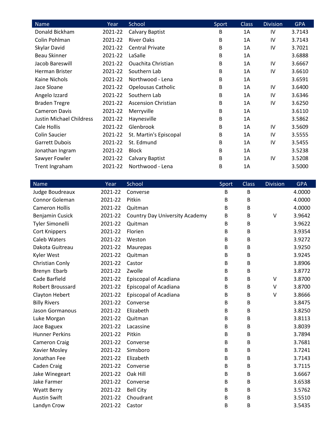| Name                     | Year    | School                     | Sport | <b>Class</b> | <b>Division</b> | <b>GPA</b> |
|--------------------------|---------|----------------------------|-------|--------------|-----------------|------------|
| Donald Bickham           | 2021-22 | Calvary Baptist            | В     | 1A           | IV              | 3.7143     |
| Colin Pohlman            | 2021-22 | <b>River Oaks</b>          | B     | 1A           | IV              | 3.7143     |
| Skylar David             | 2021-22 | <b>Central Private</b>     | B     | 1A           | IV              | 3.7021     |
| <b>Beau Skinner</b>      | 2021-22 | LaSalle                    | B     | 1A           |                 | 3.6888     |
| Jacob Bareswill          | 2021-22 | <b>Ouachita Christian</b>  | B     | 1A           | IV              | 3.6667     |
| Herman Brister           | 2021-22 | Southern Lab               | B     | 1A           | IV              | 3.6610     |
| Kaine Nichols            | 2021-22 | Northwood - Lena           | B     | 1A           |                 | 3.6591     |
| Jace Sloane              | 2021-22 | <b>Opelousas Catholic</b>  | B     | 1A           | IV              | 3.6400     |
| Angelo Izzard            | 2021-22 | Southern Lab               | B     | 1A           | IV              | 3.6346     |
| <b>Braden Tregre</b>     | 2021-22 | <b>Ascension Christian</b> | B     | 1A           | IV              | 3.6250     |
| <b>Cameron Davis</b>     | 2021-22 | Merryville                 | B     | 1A           |                 | 3.6110     |
| Justin Michael Childress | 2021-22 | Haynesville                | B     | 1A           |                 | 3.5862     |
| Cale Hollis              | 2021-22 | Glenbrook                  | B     | 1A           | IV              | 3.5609     |
| Colin Saucier            | 2021-22 | St. Martin's Episcopal     | B     | 1A           | IV              | 3.5555     |
| <b>Garrett Dubois</b>    | 2021-22 | St. Edmund                 | B     | 1A           | IV              | 3.5455     |
| Jonathan Ingram          | 2021-22 | <b>Block</b>               | В     | 1A           |                 | 3.5238     |
| Sawyer Fowler            | 2021-22 | Calvary Baptist            | В     | 1A           | 1V              | 3.5208     |
| Trent Ingraham           | 2021-22 | Northwood - Lena           | B     | 1A           |                 | 3.5000     |

| <b>Name</b>           | Year    | School                                | Sport | <b>Class</b> | <b>Division</b> | <b>GPA</b> |
|-----------------------|---------|---------------------------------------|-------|--------------|-----------------|------------|
| Judge Boudreaux       | 2021-22 | Converse                              | B     | B            |                 | 4.0000     |
| Connor Goleman        | 2021-22 | Pitkin                                | В     | B            |                 | 4.0000     |
| <b>Cameron Hollis</b> | 2021-22 | Quitman                               | B     | B            |                 | 4.0000     |
| Benjamin Cusick       | 2021-22 | <b>Country Day University Academy</b> | B     | B            | V               | 3.9642     |
| Tyler Simonelli       | 2021-22 | Quitman                               | B     | B            |                 | 3.9622     |
| <b>Cort Knippers</b>  | 2021-22 | Florien                               | B     | B            |                 | 3.9354     |
| <b>Caleb Waters</b>   | 2021-22 | Weston                                | B     | B            |                 | 3.9272     |
| Dakota Guitreau       | 2021-22 | Maurepas                              | B     | B            |                 | 3.9250     |
| Kyler West            | 2021-22 | Quitman                               | B     | B            |                 | 3.9245     |
| Christian Conly       | 2021-22 | Castor                                | B     | B            |                 | 3.8906     |
| Brenyn Ebarb          | 2021-22 | Zwolle                                | B     | B            |                 | 3.8772     |
| Cade Barfield         | 2021-22 | <b>Episcopal of Acadiana</b>          | B     | B            | V               | 3.8700     |
| Robert Broussard      | 2021-22 | <b>Episcopal of Acadiana</b>          | B     | B            | V               | 3.8700     |
| Clayton Hebert        | 2021-22 | Episcopal of Acadiana                 | B     | B            | V               | 3.8666     |
| <b>Billy Rivers</b>   | 2021-22 | Converse                              | B     | B            |                 | 3.8475     |
| Jason Gormanous       | 2021-22 | Elizabeth                             | B     | B            |                 | 3.8250     |
| Luke Morgan           | 2021-22 | Quitman                               | B     | B            |                 | 3.8113     |
| Jace Baguex           | 2021-22 | Lacassine                             | B     | B            |                 | 3.8039     |
| <b>Hunner Perkins</b> | 2021-22 | Pitkin                                | B     | B            |                 | 3.7894     |
| <b>Cameron Craig</b>  | 2021-22 | Converse                              | B     | B            |                 | 3.7681     |
| Xavier Mosley         | 2021-22 | Simsboro                              | В     | B            |                 | 3.7241     |
| Jonathan Fee          | 2021-22 | Elizabeth                             | B     | B            |                 | 3.7143     |
| Caden Craig           | 2021-22 | Converse                              | B     | B            |                 | 3.7115     |
| Jake Winegeart        | 2021-22 | Oak Hill                              | B     | B            |                 | 3.6667     |
| Jake Farmer           | 2021-22 | Converse                              | B     | B            |                 | 3.6538     |
| <b>Wyatt Berry</b>    | 2021-22 | <b>Bell City</b>                      | B     | B            |                 | 3.5762     |
| <b>Austin Swift</b>   | 2021-22 | Choudrant                             | B     | B            |                 | 3.5510     |
| Landyn Crow           | 2021-22 | Castor                                | B     | B            |                 | 3.5435     |